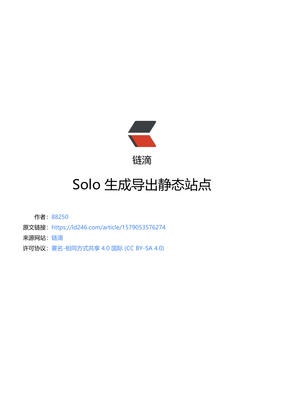

链滴

## Solo 生成[导出](https://ld246.com)静态站点

作者:88250

- 原文链接:https://ld246.com/article/1579053576274
- 来源网站: [链滴](https://ld246.com/member/88250)
- 许可协议:[署名-相同方式共享 4.0 国际 \(CC BY-SA 4.0\)](https://ld246.com/article/1579053576274)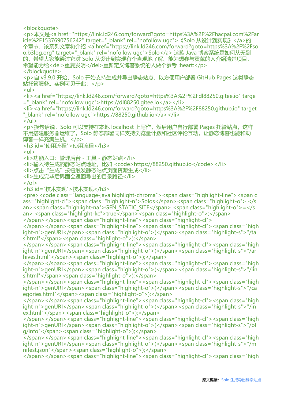<blockquote> <p>本文是<a href="https://link.ld246.com/forward?goto=https%3A%2F%2Fhacpai.com%2Far icle%2F1537690756242" target="\_blank" rel="nofollow ugc">《Solo 从设计到实现》</a>的 个章节,该系列文章将介绍 <a href="https://link.ld246.com/forward?goto=https%3A%2F%2Fso o.b3log.org" target=" blank" rel="nofollow ugc">Solo</a> 这款 Java 博客系统是如何从无到 的,希望大家能通过它对 Solo 从设计到实现有个直观地了解、能为想参与贡献的人介绍清楚项目, 希望能为给<del>重复发明</del>重新定义博客系统的人做个参考 :heart:</p> </blockquote> <p>自 v3.9.0 开始, Solo 开始支持生成并导出静态站点, 以方便用户部署 GitHub Pages 这类静态 站托管服务。实例可见于此:</p>  $|<sub>u</sub>|$ <li><a href="https://link.ld246.com/forward?goto=https%3A%2F%2Fdl88250.gitee.io" targe ="\_blank" rel="nofollow ugc">https://dl88250.gitee.io</a></li> <li><a href="https://link.ld246.com/forward?goto=https%3A%2F%2F88250.github.io" target "\_blank" rel="nofollow ugc">https://88250.github.io</a></li>  $\langle$ /ul $\rangle$ <p>换句话说,Solo 可以支持在本地 localhost 上写作,然后用户自行部署 Pages 托管站点,这样 不用搭建服务器运维了。Solo 静态部署同样支持浏览量计数和社区评论互动,让静态博客也能和动 博客一样充满生机。</p> <h3 id="使用流程">使用流程</h3>  $|<$ ol $|>$ <li>功能入口:管理后台 - 工具 - 静态站点</li>  $\langle$ li>输入待生成的静态站点地址,比如 <code>https://88250.github.io</code></li> <li>点击"生成"按钮触发静态站点页面资源生成</li> <li>生成完毕后界面会返回导出的目录路径</li>  $\langle$ ol> <h3 id="技术实现">技术实现</h3> <pre><code class="language-java highlight-chroma"><span class="highlight-line"><span c ass="highlight-cl"><span class="highlight-n">Solos</span><span class="highlight-o">.</s an> <span class="highlight-na">GEN\_STATIC\_SITE</span> <span class="highlight-o">=</s an> <span class="highlight-kc">true</span><span class="highlight-o">;</span> </span></span><span class="highlight-line"><span class="highlight-cl"> </span></span><span class="highlight-line"><span class="highlight-cl"><span class="high ight-n">genURI</span><span class="highlight-o">(</span><span class="highlight-s">"/ta s.html"</span><span class="highlight-o">);</span> </span></span><span class="highlight-line"><span class="highlight-cl"><span class="high ight-n">genURI</span><span class="highlight-o">(</span><span class="highlight-s">"/ar hives.html"</span><span class="highlight-o">);</span> </span></span><span class="highlight-line"><span class="highlight-cl"><span class="high ight-n">genURI</span><span class="highlight-o">(</span><span class="highlight-s">"/lin s.html"</span><span class="highlight-o">);</span> </span></span><span class="highlight-line"><span class="highlight-cl"><span class="high ight-n">genURI</span><span class="highlight-o">(</span><span class="highlight-s">"/ca egories.html"</span><span class="highlight-o">);</span> </span></span><span class="highlight-line"><span class="highlight-cl"><span class="high ight-n">genURI</span><span class="highlight-o">(</span><span class="highlight-s">"/in ex.html"</span><span class="highlight-o">);</span> </span></span><span class="highlight-line"><span class="highlight-cl"><span class="high ight-n">genURI</span><span class="highlight-o">(</span><span class="highlight-s">"/bl g/info"</span><span class="highlight-o">);</span> </span></span><span class="highlight-line"><span class="highlight-cl"><span class="high ight-n">genURI</span><span class="highlight-o">(</span><span class="highlight-s">"/m nifest.json"</span><span class="highlight-o">);</span> </span></span><span class="highlight-line"><span class="highlight-cl"><span class="high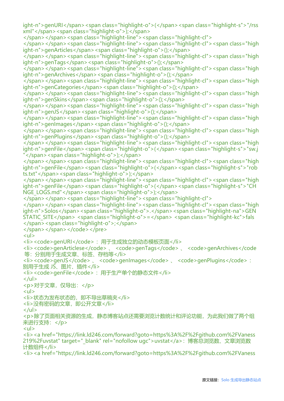ight-n">genURI</span><span class="highlight-o">(</span><span class="highlight-s">"/rss xml"</span><span class="highlight-o">);</span> </span></span><span class="highlight-line"><span class="highlight-cl"> </span></span><span class="highlight-line"><span class="highlight-cl"><span class="high ight-n">genArticles</span><span class="highlight-o">();</span>  $\langle$ span> $\langle$ span> $\langle$ span class="highlight-line"> $\langle$ span class="highlight-cl"> $\langle$ span class="high ight-n">genTags</span><span class="highlight-o">();</span> </span></span><span class="highlight-line"><span class="highlight-cl"><span class="high ight-n">genArchives</span><span class="highlight-o">();</span> </span></span><span class="highlight-line"><span class="highlight-cl"><span class="high ight-n">genCategories</span><span class="highlight-o">();</span> </span></span><span class="highlight-line"><span class="highlight-cl"><span class="high ight-n">genSkins</span><span class="highlight-o">();</span> </span></span><span class="highlight-line"><span class="highlight-cl"><span class="high ight-n">genJS</span><span class="highlight-o">();</span> </span></span><span class="highlight-line"><span class="highlight-cl"><span class="high ight-n">genImages</span><span class="highlight-o">();</span> </span></span><span class="highlight-line"><span class="highlight-cl"><span class="high ight-n">genPlugins</span><span class="highlight-o">();</span> </span></span><span class="highlight-line"><span class="highlight-cl"><span class="high ight-n">genFile</span><span class="highlight-o">(</span><span class="highlight-s">"sw.j "</span><span class="highlight-o">);</span> </span></span><span class="highlight-line"><span class="highlight-cl"><span class="high ight-n">genFile</span><span class="highlight-o">(</span><span class="highlight-s">"rob ts.txt"</span><span class="highlight-o">);</span> </span></span><span class="highlight-line"><span class="highlight-cl"><span class="high ight-n">genFile</span><span class="highlight-o">(</span><span class="highlight-s">"CH NGE\_LOGS.md"</span><span class="highlight-o">);</span> </span></span><span class="highlight-line"><span class="highlight-cl"> </span></span><span class="highlight-line"><span class="highlight-cl"><span class="high ight-n">Solos</span><span class="highlight-o">.</span><span class="highlight-na">GEN STATIC\_SITE</span> <span class="highlight-o">=</span> <span class="highlight-kc">fals </span><span class="highlight-o">;</span> </span></span></code></pre> <ul> <li><code>genURI</code>: 用于生成独立的动态模板页面</li> <li><code>genArticlese</code> 、 <code>genTags</code> 、 <code>genArchives</code 等:分别用于生成文章、标签、存档等</li>  $\langle$ i><code>genJS</code>, <code>genImages</code>, <code>genPlugins</code>: 别用于生成 JS、图片、插件</li> <li><code>genFile</code> : 用于生产单个的静态文件</li>  $\langle$ /ul $\rangle$ <p>对于文章,仅导出:</p> <ul> <li>状态为发布状态的,即不导出草稿夹</li> <li>没有密码的文章, 即公开文章</li>  $\langle$ /ul $\rangle$ <p>除了页面相关资源的生成,静态博客站点还需要浏览计数统计和评论功能,为此我们做了两个组 来进行支持:</p>  $|<sub>u</sub>|$ <li><a href="https://link.ld246.com/forward?goto=https%3A%2F%2Fgithub.com%2FVaness 219%2Fuvstat" target="\_blank" rel="nofollow ugc">uvstat</a>:博客总浏览数、文章浏览数 计数组件</li> <li><a href="https://link.ld246.com/forward?goto=https%3A%2F%2Fgithub.com%2FVaness